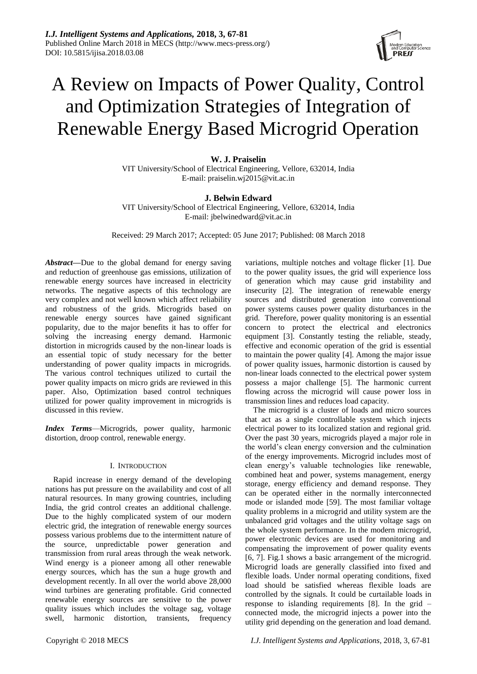

# A Review on Impacts of Power Quality, Control and Optimization Strategies of Integration of Renewable Energy Based Microgrid Operation

# **W. J. Praiselin**

VIT University/School of Electrical Engineering, Vellore, 632014, India E-mail: praiselin.wj2015@vit.ac.in

# **J. Belwin Edward**

VIT University/School of Electrical Engineering, Vellore, 632014, India E-mail: jbelwinedward@vit.ac.in

Received: 29 March 2017; Accepted: 05 June 2017; Published: 08 March 2018

*Abstract***—**Due to the global demand for energy saving and reduction of greenhouse gas emissions, utilization of renewable energy sources have increased in electricity networks. The negative aspects of this technology are very complex and not well known which affect reliability and robustness of the grids. Microgrids based on renewable energy sources have gained significant popularity, due to the major benefits it has to offer for solving the increasing energy demand. Harmonic distortion in microgrids caused by the non-linear loads is an essential topic of study necessary for the better understanding of power quality impacts in microgrids. The various control techniques utilized to curtail the power quality impacts on micro grids are reviewed in this paper. Also, Optimization based control techniques utilized for power quality improvement in microgrids is discussed in this review.

*Index Terms*—Microgrids, power quality, harmonic distortion, droop control, renewable energy.

#### I. INTRODUCTION

Rapid increase in energy demand of the developing nations has put pressure on the availability and cost of all natural resources. In many growing countries, including India, the grid control creates an additional challenge. Due to the highly complicated system of our modern electric grid, the integration of renewable energy sources possess various problems due to the intermittent nature of the source, unpredictable power generation and transmission from rural areas through the weak network. Wind energy is a pioneer among all other renewable energy sources, which has the sun a huge growth and development recently. In all over the world above 28,000 wind turbines are generating profitable. Grid connected renewable energy sources are sensitive to the power quality issues which includes the voltage sag, voltage swell, harmonic distortion, transients, frequency

variations, multiple notches and voltage flicker [1]. Due to the power quality issues, the grid will experience loss of generation which may cause grid instability and insecurity [2]. The integration of renewable energy sources and distributed generation into conventional power systems causes power quality disturbances in the grid. Therefore, power quality monitoring is an essential concern to protect the electrical and electronics equipment [3]. Constantly testing the reliable, steady, effective and economic operation of the grid is essential to maintain the power quality [4]. Among the major issue of power quality issues, harmonic distortion is caused by non-linear loads connected to the electrical power system possess a major challenge [5]. The harmonic current flowing across the microgrid will cause power loss in transmission lines and reduces load capacity.

The microgrid is a cluster of loads and micro sources that act as a single controllable system which injects electrical power to its localized station and regional grid. Over the past 30 years, microgrids played a major role in the world's clean energy conversion and the culmination of the energy improvements. Microgrid includes most of clean energy's valuable technologies like renewable, combined heat and power, systems management, energy storage, energy efficiency and demand response. They can be operated either in the normally interconnected mode or islanded mode [59]. The most familiar voltage quality problems in a microgrid and utility system are the unbalanced grid voltages and the utility voltage sags on the whole system performance. In the modern microgrid, power electronic devices are used for monitoring and compensating the improvement of power quality events [6, 7]. Fig.1 shows a basic arrangement of the microgrid. Microgrid loads are generally classified into fixed and flexible loads. Under normal operating conditions, fixed load should be satisfied whereas flexible loads are controlled by the signals. It could be curtailable loads in response to islanding requirements [8]. In the grid – connected mode, the microgrid injects a power into the utility grid depending on the generation and load demand.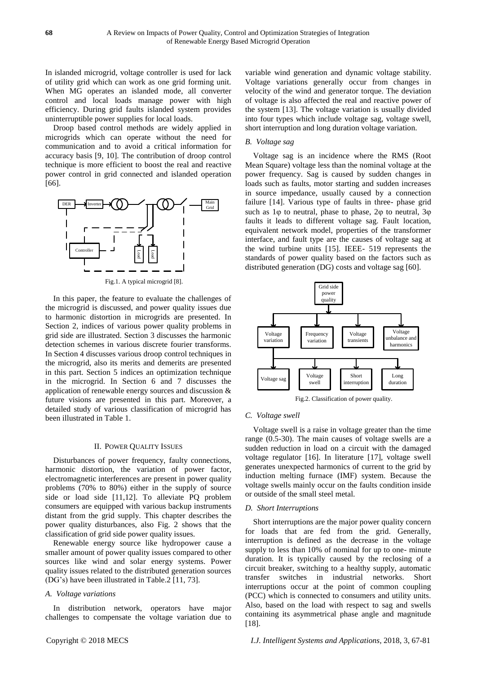In islanded microgrid, voltage controller is used for lack of utility grid which can work as one grid forming unit. When MG operates an islanded mode, all converter control and local loads manage power with high efficiency. During grid faults islanded system provides uninterruptible power supplies for local loads.

Droop based control methods are widely applied in microgrids which can operate without the need for communication and to avoid a critical information for accuracy basis [9, 10]. The contribution of droop control technique is more efficient to boost the real and reactive power control in grid connected and islanded operation [66].



Fig.1. A typical microgrid [8].

In this paper, the feature to evaluate the challenges of the microgrid is discussed, and power quality issues due to harmonic distortion in microgrids are presented. In Section 2, indices of various power quality problems in grid side are illustrated. Section 3 discusses the harmonic detection schemes in various discrete fourier transforms. In Section 4 discusses various droop control techniques in the microgrid, also its merits and demerits are presented in this part. Section 5 indices an optimization technique in the microgrid. In Section 6 and 7 discusses the application of renewable energy sources and discussion & future visions are presented in this part. Moreover, a detailed study of various classification of microgrid has been illustrated in Table 1.

## II. POWER QUALITY ISSUES

Disturbances of power frequency, faulty connections, harmonic distortion, the variation of power factor, electromagnetic interferences are present in power quality problems (70% to 80%) either in the supply of source side or load side [11,12]. To alleviate PQ problem consumers are equipped with various backup instruments distant from the grid supply. This chapter describes the power quality disturbances, also Fig. 2 shows that the classification of grid side power quality issues.

Renewable energy source like hydropower cause a smaller amount of power quality issues compared to other sources like wind and solar energy systems. Power quality issues related to the distributed generation sources (DG's) have been illustrated in Table.2 [11, 73].

#### *A. Voltage variations*

In distribution network, operators have major challenges to compensate the voltage variation due to variable wind generation and dynamic voltage stability. Voltage variations generally occur from changes in velocity of the wind and generator torque. The deviation of voltage is also affected the real and reactive power of the system [13]. The voltage variation is usually divided into four types which include voltage sag, voltage swell, short interruption and long duration voltage variation.

#### *B. Voltage sag*

Voltage sag is an incidence where the RMS (Root Mean Square) voltage less than the nominal voltage at the power frequency. Sag is caused by sudden changes in loads such as faults, motor starting and sudden increases in source impedance, usually caused by a connection failure [14]. Various type of faults in three- phase grid such as  $1\varphi$  to neutral, phase to phase,  $2\varphi$  to neutral,  $3\varphi$ faults it leads to different voltage sag. Fault location, equivalent network model, properties of the transformer interface, and fault type are the causes of voltage sag at the wind turbine units [15]. IEEE- 519 represents the standards of power quality based on the factors such as distributed generation (DG) costs and voltage sag [60].



Fig.2. Classification of power quality.

## *C. Voltage swell*

Voltage swell is a raise in voltage greater than the time range (0.5-30). The main causes of voltage swells are a sudden reduction in load on a circuit with the damaged voltage regulator [16]. In literature [17], voltage swell generates unexpected harmonics of current to the grid by induction melting furnace (IMF) system. Because the voltage swells mainly occur on the faults condition inside or outside of the small steel metal.

## *D. Short Interruptions*

Short interruptions are the major power quality concern for loads that are fed from the grid. Generally, interruption is defined as the decrease in the voltage supply to less than 10% of nominal for up to one- minute duration. It is typically caused by the reclosing of a circuit breaker, switching to a healthy supply, automatic transfer switches in industrial networks. Short interruptions occur at the point of common coupling (PCC) which is connected to consumers and utility units. Also, based on the load with respect to sag and swells containing its asymmetrical phase angle and magnitude [18].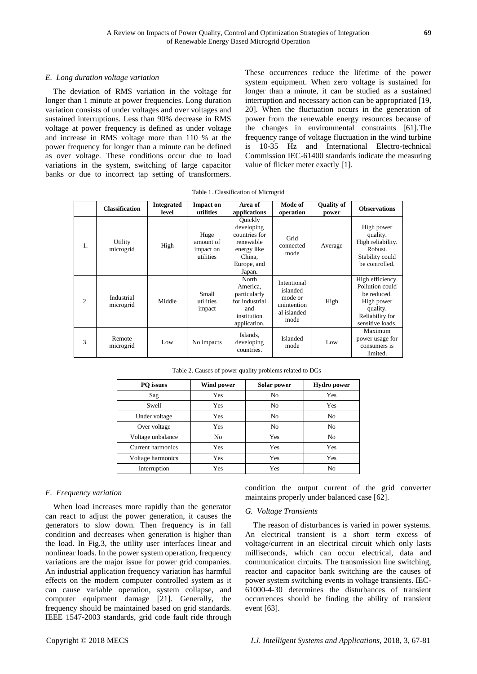## *E. Long duration voltage variation*

The deviation of RMS variation in the voltage for longer than 1 minute at power frequencies. Long duration variation consists of under voltages and over voltages and sustained interruptions. Less than 90% decrease in RMS voltage at power frequency is defined as under voltage and increase in RMS voltage more than 110 % at the power frequency for longer than a minute can be defined as over voltage. These conditions occur due to load variations in the system, switching of large capacitor banks or due to incorrect tap setting of transformers.

These occurrences reduce the lifetime of the power system equipment. When zero voltage is sustained for longer than a minute, it can be studied as a sustained interruption and necessary action can be appropriated [19, 20]. When the fluctuation occurs in the generation of power from the renewable energy resources because of the changes in environmental constraints [61].The frequency range of voltage fluctuation in the wind turbine is 10-35 Hz and International Electro-technical Commission IEC-61400 standards indicate the measuring value of flicker meter exactly [1].

| Table 1. Classification of Microgrid |  |
|--------------------------------------|--|
|--------------------------------------|--|

|                  | <b>Classification</b>   | <b>Integrated</b><br>level | <b>Impact on</b><br>utilities               | Area of<br>applications                                                                               | Mode of<br>operation                                                     | <b>Quality of</b><br>power | <b>Observations</b>                                                                                                 |
|------------------|-------------------------|----------------------------|---------------------------------------------|-------------------------------------------------------------------------------------------------------|--------------------------------------------------------------------------|----------------------------|---------------------------------------------------------------------------------------------------------------------|
| 1.               | Utility<br>microgrid    | High                       | Huge<br>amount of<br>impact on<br>utilities | Quickly<br>developing<br>countries for<br>renewable<br>energy like<br>China.<br>Europe, and<br>Japan. | Grid<br>connected<br>mode                                                | Average                    | High power<br>quality.<br>High reliability.<br>Robust.<br>Stability could<br>be controlled.                         |
| $\overline{2}$ . | Industrial<br>microgrid | Middle                     | Small<br>utilities<br>impact                | North<br>America,<br>particularly<br>for industrial<br>and<br>institution<br>application.             | Intentional<br>islanded<br>mode or<br>unintention<br>al islanded<br>mode | High                       | High efficiency.<br>Pollution could<br>be reduced.<br>High power<br>quality.<br>Reliability for<br>sensitive loads. |
| 3.               | Remote<br>microgrid     | Low                        | No impacts                                  | Islands,<br>developing<br>countries.                                                                  | Islanded<br>mode                                                         | Low                        | Maximum<br>power usage for<br>consumers is<br>limited.                                                              |

Table 2. Causes of power quality problems related to DGs

| PO issues                | Wind power     | Solar power    | <b>Hydro</b> power |
|--------------------------|----------------|----------------|--------------------|
| Sag                      | Yes            | N <sub>0</sub> | Yes                |
| Swell                    | Yes            | No             | Yes                |
| Under voltage            | Yes            | N <sub>0</sub> | No                 |
| Over voltage             | Yes            | N <sub>0</sub> | No                 |
| Voltage unbalance        | N <sub>o</sub> | Yes            | No                 |
| <b>Current harmonics</b> | Yes            | Yes            | Yes                |
| Voltage harmonics        | Yes            | Yes            | Yes                |
| Interruption             | Yes            | Yes            | No                 |

## *F. Frequency variation*

When load increases more rapidly than the generator can react to adjust the power generation, it causes the generators to slow down. Then frequency is in fall condition and decreases when generation is higher than the load. In Fig.3, the utility user interfaces linear and nonlinear loads. In the power system operation, frequency variations are the major issue for power grid companies. An industrial application frequency variation has harmful effects on the modern computer controlled system as it can cause variable operation, system collapse, and computer equipment damage [21]. Generally, the frequency should be maintained based on grid standards. IEEE 1547-2003 standards, grid code fault ride through

condition the output current of the grid converter maintains properly under balanced case [62].

## *G. Voltage Transients*

The reason of disturbances is varied in power systems. An electrical transient is a short term excess of voltage/current in an electrical circuit which only lasts milliseconds, which can occur electrical, data and communication circuits. The transmission line switching, reactor and capacitor bank switching are the causes of power system switching events in voltage transients. IEC-61000-4-30 determines the disturbances of transient occurrences should be finding the ability of transient event [63].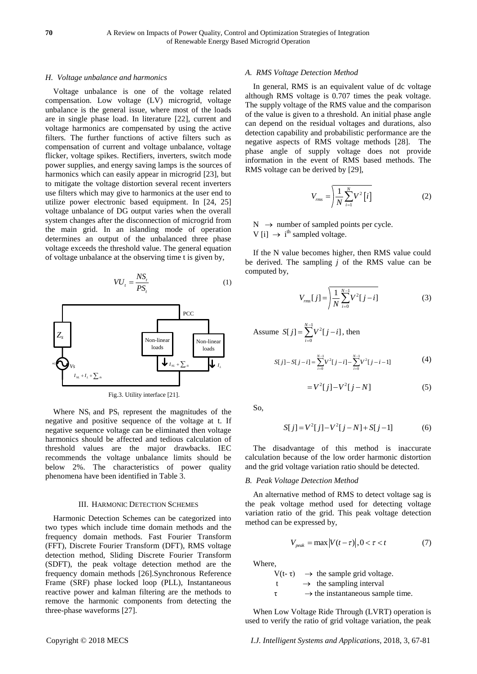## *H. Voltage unbalance and harmonics*

Voltage unbalance is one of the voltage related compensation. Low voltage (LV) microgrid, voltage unbalance is the general issue, where most of the loads are in single phase load. In literature [22], current and voltage harmonics are compensated by using the active filters. The further functions of active filters such as compensation of current and voltage unbalance, voltage flicker, voltage spikes. Rectifiers, inverters, switch mode power supplies, and energy saving lamps is the sources of harmonics which can easily appear in microgrid [23], but to mitigate the voltage distortion several recent inverters use filters which may give to harmonics at the user end to utilize power electronic based equipment. In [24, 25] voltage unbalance of DG output varies when the overall system changes after the disconnection of microgrid from the main grid. In an islanding mode of operation determines an output of the unbalanced three phase voltage exceeds the threshold value. The general equation of voltage unbalance at the observing time t is given by,

$$
VU_t = \frac{NS_t}{PS_t} \tag{1}
$$





Where  $NS_t$  and  $PS_t$  represent the magnitudes of the negative and positive sequence of the voltage at t. If negative sequence voltage can be eliminated then voltage harmonics should be affected and tedious calculation of threshold values are the major drawbacks. IEC recommends the voltage unbalance limits should be below 2%. The characteristics of power quality phenomena have been identified in Table 3.

#### III. HARMONIC DETECTION SCHEMES

Harmonic Detection Schemes can be categorized into two types which include time domain methods and the frequency domain methods. Fast Fourier Transform (FFT), Discrete Fourier Transform (DFT), RMS voltage detection method, Sliding Discrete Fourier Transform (SDFT), the peak voltage detection method are the frequency domain methods [26].Synchronous Reference Frame (SRF) phase locked loop (PLL), Instantaneous reactive power and kalman filtering are the methods to remove the harmonic components from detecting the three-phase waveforms [27].

#### *A. RMS Voltage Detection Method*

In general, RMS is an equivalent value of dc voltage although RMS voltage is 0.707 times the peak voltage. The supply voltage of the RMS value and the comparison of the value is given to a threshold. An initial phase angle can depend on the residual voltages and durations, also detection capability and probabilistic performance are the negative aspects of RMS voltage methods [28]. The phase angle of supply voltage does not provide information in the event of RMS based methods. The RMS voltage can be derived by [29],

$$
V_{rms} = \left| \frac{1}{N} \sum_{i=1}^{N} V^2 \left[ i \right] \right| \tag{2}
$$

 $N \rightarrow$  number of sampled points per cycle. V [i]  $\rightarrow$  i<sup>th</sup> sampled voltage.

If the N value becomes higher, then RMS value could be derived. The sampling *j* of the RMS value can be computed by,

$$
V_{\text{rms}}[j] = \sqrt{\frac{1}{N} \sum_{i=0}^{N-1} V^2[j-i]}
$$
 (3)

Assume 
$$
S[j] = \sum_{i=0}^{N-1} V^2[j-i]
$$
, then  
\n
$$
S[j] - S[j-i] = \sum_{i=0}^{N-1} V^2[j-i] - \sum_{i=0}^{N-1} V^2[j-i-1]
$$
\n(4)

$$
=V^{2}[j]-V^{2}[j-N]
$$
 (5)

So,

$$
S[j] = V^{2}[j] - V^{2}[j-N] + S[j-1]
$$
 (6)

The disadvantage of this method is inaccurate calculation because of the low order harmonic distortion and the grid voltage variation ratio should be detected.

## *B. Peak Voltage Detection Method*

An alternative method of RMS to detect voltage sag is the peak voltage method used for detecting voltage variation ratio of the grid. This peak voltage detection method can be expressed by,

$$
V_{peak} = \max |V(t - \tau)|, 0 < \tau < t \tag{7}
$$

Where,

 $V(t-\tau)$   $\rightarrow$  the sample grid voltage.  $t \rightarrow$  the sampling interval  $\tau \longrightarrow$  the instantaneous sample time.

When Low Voltage Ride Through (LVRT) operation is used to verify the ratio of grid voltage variation, the peak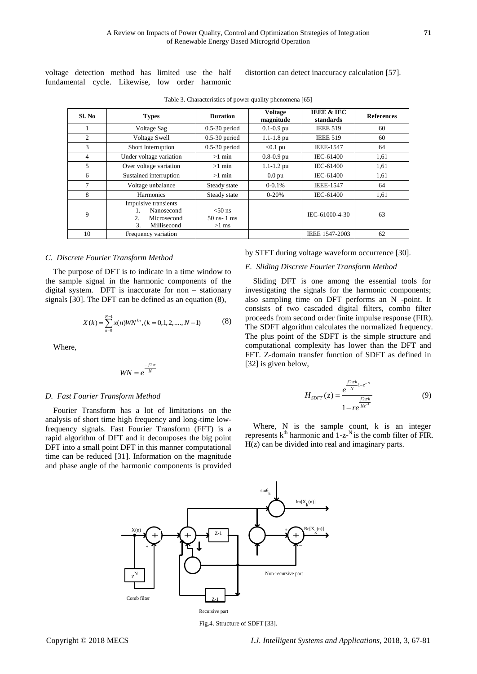voltage detection method has limited use the half fundamental cycle. Likewise, low order harmonic

distortion can detect inaccuracy calculation [57].

| Sl. No | <b>Types</b>                                                                               | <b>Duration</b>                         | <b>Voltage</b><br>magnitude | <b>IEEE &amp; IEC</b><br>standards | <b>References</b> |
|--------|--------------------------------------------------------------------------------------------|-----------------------------------------|-----------------------------|------------------------------------|-------------------|
|        | Voltage Sag                                                                                | $0.5-30$ period                         | $0.1 - 0.9$ pu              | <b>IEEE 519</b>                    | 60                |
| 2      | <b>Voltage Swell</b>                                                                       | $0.5-30$ period                         | $1.1 - 1.8$ pu              | <b>IEEE 519</b>                    | 60                |
| 3      | Short Interruption                                                                         | $0.5-30$ period                         | $< 0.1$ pu                  | <b>IEEE-1547</b>                   | 64                |
| 4      | Under voltage variation                                                                    | $>1$ min                                | $0.8 - 0.9$ pu              | IEC-61400                          | 1,61              |
| 5      | Over voltage variation                                                                     | $>1$ min                                | $1.1 - 1.2$ pu              | IEC-61400                          | 1,61              |
| 6      | Sustained interruption                                                                     | $>1$ min                                | 0.0 <sub>pu</sub>           | IEC-61400                          | 1,61              |
| 7      | Voltage unbalance                                                                          | Steady state                            | $0 - 0.1%$                  | <b>IEEE-1547</b>                   | 64                |
| 8      | <b>Harmonics</b>                                                                           | Steady state                            | $0 - 20%$                   | IEC-61400                          | 1,61              |
| 9      | Impulsive transients<br>Nanosecond<br>$\overline{2}$ .<br>Microsecond<br>3.<br>Millisecond | $< 50$ ns<br>$50$ ns- $1$ ms<br>$>1$ ms |                             | IEC-61000-4-30                     | 63                |
| 10     | Frequency variation                                                                        |                                         | IEEE 1547-2003              | 62                                 |                   |

Table 3. Characteristics of power quality phenomena [65]

## *C. Discrete Fourier Transform Method*

The purpose of DFT is to indicate in a time window to the sample signal in the harmonic components of the digital system. DFT is inaccurate for non – stationary signals [30]. The DFT can be defined as an equation (8),

$$
X(k) = \sum_{n=0}^{N-1} x(n) W N^{kn}, (k = 0, 1, 2, \dots, N-1)
$$
 (8)

Where,

$$
WN = e^{\frac{-j2\pi}{N}}
$$

#### *D. Fast Fourier Transform Method*

Fourier Transform has a lot of limitations on the analysis of short time high frequency and long-time lowfrequency signals. Fast Fourier Transform (FFT) is a rapid algorithm of DFT and it decomposes the big point DFT into a small point DFT in this manner computational time can be reduced [31]. Information on the magnitude and phase angle of the harmonic components is provided



## *E. Sliding Discrete Fourier Transform Method*

Sliding DFT is one among the essential tools for investigating the signals for the harmonic components; also sampling time on DFT performs an N -point. It consists of two cascaded digital filters, combo filter proceeds from second order finite impulse response (FIR). The SDFT algorithm calculates the normalized frequency. The plus point of the SDFT is the simple structure and computational complexity has lower than the DFT and FFT. Z-domain transfer function of SDFT as defined in [32] is given below,

$$
H_{\text{SDFT}}(z) = \frac{e^{\frac{j2\pi k}{N}1 - z^{-N}}}{1 - re^{\frac{j2\pi k}{Nz^{-1}}}}
$$
(9)

Where, N is the sample count, k is an integer represents  $k<sup>th</sup>$  harmonic and  $1-z<sup>N</sup>$  is the comb filter of FIR. H(z) can be divided into real and imaginary parts.



Fig.4. Structure of SDFT [33].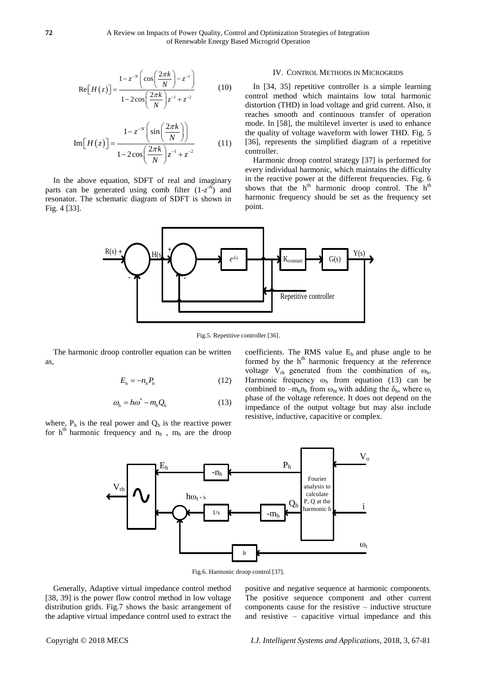$$
\operatorname{Re}\left[H(z)\right] = \frac{1 - z^{-N} \left(\cos\left(\frac{2\pi k}{N}\right) - z^{-1}\right)}{1 - 2\cos\left(\frac{2\pi k}{N}\right)z^{-1} + z^{-2}}\tag{10}
$$

$$
\operatorname{Im}\left[H(z)\right] = \frac{1 - z^{-N} \left(\sin\left(\frac{2\pi k}{N}\right)\right)}{1 - 2\cos\left(\frac{2\pi k}{N}\right)z^{-1} + z^{-2}}\tag{11}
$$

In the above equation, SDFT of real and imaginary parts can be generated using comb filter  $(1-z<sup>-*X*</sup>)$  and resonator. The schematic diagram of SDFT is shown in Fig. 4 [33].

## IV. CONTROL METHODS IN MICROGRIDS

In [34, 35] repetitive controller is a simple learning control method which maintains low total harmonic distortion (THD) in load voltage and grid current. Also, it reaches smooth and continuous transfer of operation mode. In [58], the multilevel inverter is used to enhance the quality of voltage waveform with lower THD. Fig. 5 [36], represents the simplified diagram of a repetitive controller.

Harmonic droop control strategy [37] is performed for every individual harmonic, which maintains the difficulty in the reactive power at the different frequencies. Fig. 6 shows that the h<sup>th</sup> harmonic droop control. The h<sup>th</sup> harmonic frequency should be set as the frequency set point.



Fig.5. Repetitive controller [36].

The harmonic droop controller equation can be written as,

$$
E_h = -n_h P_h \tag{12}
$$

$$
\omega_h = h\omega^* - m_h Q_h \tag{13}
$$

where,  $P_h$  is the real power and  $Q_h$  is the reactive power for  $h<sup>th</sup>$  harmonic frequency and  $n<sub>h</sub>$ ,  $m<sub>h</sub>$  are the droop

coefficients. The RMS value  $E<sub>h</sub>$  and phase angle to be formed by the h<sup>th</sup> harmonic frequency at the reference voltage  $V_{rh}$  generated from the combination of  $\omega_{h}$ . Harmonic frequency  $\omega_h$  from equation (13) can be combined to  $-m_hn_h$  from  $\omega_{ht}$  with adding the  $\delta_h$ , where  $\omega_t$ phase of the voltage reference. It does not depend on the impedance of the output voltage but may also include resistive, inductive, capacitive or complex.



Fig.6. Harmonic droop control [37].

Generally, Adaptive virtual impedance control method [38, 39] is the power flow control method in low voltage distribution grids. Fig.7 shows the basic arrangement of the adaptive virtual impedance control used to extract the positive and negative sequence at harmonic components. The positive sequence component and other current components cause for the resistive – inductive structure and resistive – capacitive virtual impedance and this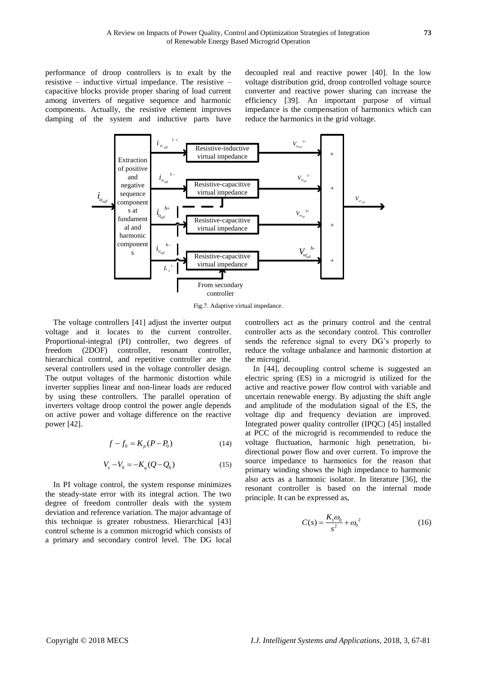performance of droop controllers is to exalt by the resistive – inductive virtual impedance. The resistive – capacitive blocks provide proper sharing of load current among inverters of negative sequence and harmonic components. Actually, the resistive element improves damping of the system and inductive parts have decoupled real and reactive power [40]. In the low voltage distribution grid, droop controlled voltage source converter and reactive power sharing can increase the efficiency [39]. An important purpose of virtual impedance is the compensation of harmonics which can reduce the harmonics in the grid voltage.



Fig.7. Adaptive virtual impedance.

The voltage controllers [41] adjust the inverter output voltage and it locates to the current controller. Proportional-integral (PI) controller, two degrees of freedom (2DOF) controller, resonant controller, hierarchical control, and repetitive controller are the several controllers used in the voltage controller design. The output voltages of the harmonic distortion while inverter supplies linear and non-linear loads are reduced by using these controllers. The parallel operation of inverters voltage droop control the power angle depends on active power and voltage difference on the reactive power [42].

$$
f - f_0 = K_p (P - P_0)
$$
 (14)

$$
V_s - V_0 = -K_q(Q - Q_0)
$$
 (15)

In PI voltage control, the system response minimizes the steady-state error with its integral action. The two degree of freedom controller deals with the system deviation and reference variation. The major advantage of this technique is greater robustness. Hierarchical [43] control scheme is a common microgrid which consists of a primary and secondary control level. The DG local

controllers act as the primary control and the central controller acts as the secondary control. This controller sends the reference signal to every DG's properly to reduce the voltage unbalance and harmonic distortion at the microgrid.

In [44], decoupling control scheme is suggested an electric spring (ES) in a microgrid is utilized for the active and reactive power flow control with variable and uncertain renewable energy. By adjusting the shift angle and amplitude of the modulation signal of the ES, the voltage dip and frequency deviation are improved. Integrated power quality controller (IPQC) [45] installed at PCC of the microgrid is recommended to reduce the voltage fluctuation, harmonic high penetration, bidirectional power flow and over current. To improve the source impedance to harmonics for the reason that primary winding shows the high impedance to harmonic also acts as a harmonic isolator. In literature [36], the resonant controller is based on the internal mode principle. It can be expressed as,

$$
C(s) = \frac{K_1 \omega_0}{s^2} + {\omega_0}^2
$$
 (16)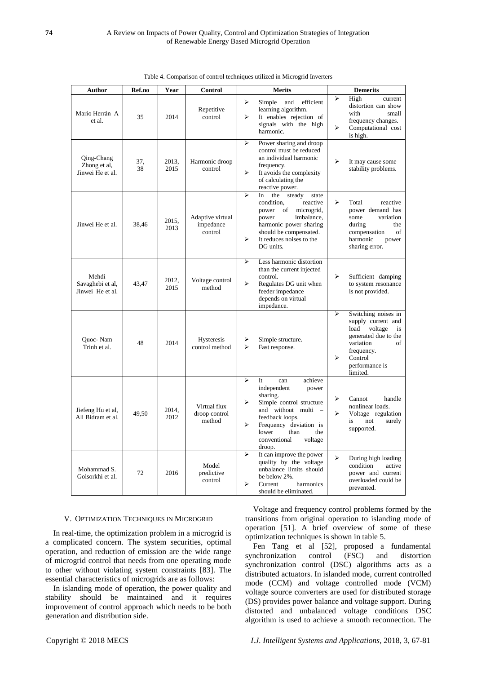| <b>Author</b>                                  | Ref.no    | Year          | <b>Control</b>                           | <b>Merits</b>                                                                                                                                                                                                                                                                | <b>Demerits</b>                                                                                                                                                                                    |
|------------------------------------------------|-----------|---------------|------------------------------------------|------------------------------------------------------------------------------------------------------------------------------------------------------------------------------------------------------------------------------------------------------------------------------|----------------------------------------------------------------------------------------------------------------------------------------------------------------------------------------------------|
| Mario Herr án A<br>et al.                      | 35        | 2014          | Repetitive<br>control                    | ➤<br>efficient<br>Simple<br>and<br>learning algorithm.<br>$\blacktriangleright$<br>It enables rejection of<br>signals with the high<br>harmonic.                                                                                                                             | ⋗<br>High<br>current<br>distortion can show<br>with<br>small<br>frequency changes.<br>⋗<br>Computational cost<br>is high.                                                                          |
| Qing-Chang<br>Zhong et al,<br>Jinwei He et al. | 37.<br>38 | 2013.<br>2015 | Harmonic droop<br>control                | $\blacktriangleright$<br>Power sharing and droop<br>control must be reduced<br>an individual harmonic<br>frequency.<br>$\blacktriangleright$<br>It avoids the complexity<br>of calculating the<br>reactive power.                                                            | ⋗<br>It may cause some<br>stability problems.                                                                                                                                                      |
| Jinwei He et al.                               | 38.46     | 2015,<br>2013 | Adaptive virtual<br>impedance<br>control | $\blacktriangleright$<br>the<br>steady<br>In<br>state<br>condition,<br>reactive<br>of<br>microgrid,<br>power<br>power<br>imbalance,<br>harmonic power sharing<br>should be compensated.<br>$\blacktriangleright$<br>It reduces noises to the<br>DG units.                    | ➤<br>Total<br>reactive<br>power demand has<br>variation<br>some<br>during<br>the<br>compensation<br>of<br>harmonic<br>power<br>sharing error.                                                      |
| Mehdi<br>Savaghebi et al,<br>Jinwei He et al.  | 43,47     | 2012,<br>2015 | Voltage control<br>method                | Less harmonic distortion<br>➤<br>than the current injected<br>control.<br>$\blacktriangleright$<br>Regulates DG unit when<br>feeder impedance<br>depends on virtual<br>impedance.                                                                                            | ↘<br>Sufficient damping<br>to system resonance<br>is not provided.                                                                                                                                 |
| <b>Ouoc-Nam</b><br>Trinh et al.                | 48        | 2014          | Hysteresis<br>control method             | Simple structure.<br>⋗<br>$\blacktriangleright$<br>Fast response.                                                                                                                                                                                                            | $\blacktriangleright$<br>Switching noises in<br>supply current and<br>load<br>voltage<br>is<br>generated due to the<br>variation<br>of<br>frequency.<br>⋗<br>Control<br>performance is<br>limited. |
| Jiefeng Hu et al,<br>Ali Bidram et al.         | 49.50     | 2014,<br>2012 | Virtual flux<br>droop control<br>method  | $\blacktriangleright$<br>achieve<br>It<br>can<br>independent<br>power<br>sharing.<br>Simple control structure<br>➤<br>and without multi -<br>feedback loops.<br>$\blacktriangleright$<br>Frequency deviation is<br>lower<br>than<br>the<br>conventional<br>voltage<br>droop. | ➤<br>Cannot<br>handle<br>nonlinear loads.<br>↘<br>Voltage regulation<br>not<br>surely<br>is<br>supported.                                                                                          |
| Mohammad S.<br>Golsorkhi et al.                | 72        | 2016          | Model<br>predictive<br>control           | It can improve the power<br>➤<br>quality by the voltage<br>unbalance limits should<br>be below 2%.<br>⋗<br>Current<br>harmonics<br>should be eliminated.                                                                                                                     | $\blacktriangleright$<br>During high loading<br>condition<br>active<br>power and current<br>overloaded could be<br>prevented.                                                                      |

Table 4. Comparison of control techniques utilized in Microgrid Inverters

## V. OPTIMIZATION TECHNIQUES IN MICROGRID

In real-time, the optimization problem in a microgrid is a complicated concern. The system securities, optimal operation, and reduction of emission are the wide range of microgrid control that needs from one operating mode to other without violating system constraints [83]. The essential characteristics of microgrids are as follows:

In islanding mode of operation, the power quality and stability should be maintained and it requires improvement of control approach which needs to be both generation and distribution side.

Voltage and frequency control problems formed by the transitions from original operation to islanding mode of operation [51]. A brief overview of some of these optimization techniques is shown in table 5.

Fen Tang et al [52], proposed a fundamental synchronization control (FSC) and distortion synchronization control (DSC) algorithms acts as a distributed actuators. In islanded mode, current controlled mode (CCM) and voltage controlled mode (VCM) voltage source converters are used for distributed storage (DS) provides power balance and voltage support. During distorted and unbalanced voltage conditions DSC algorithm is used to achieve a smooth reconnection. The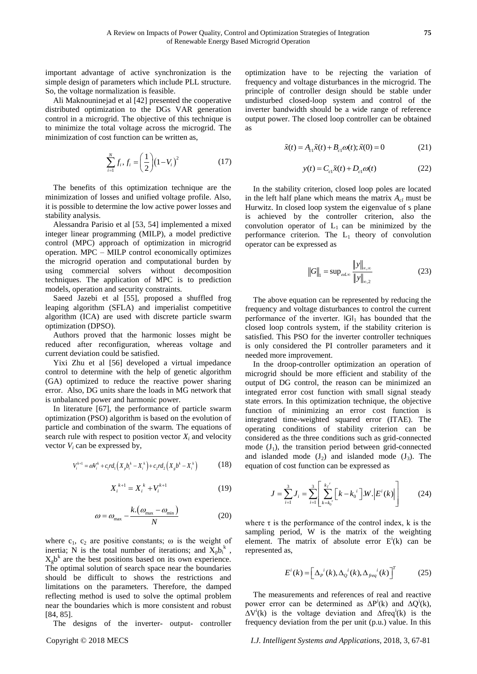important advantage of active synchronization is the simple design of parameters which include PLL structure. So, the voltage normalization is feasible.

Ali Maknouninejad et al [42] presented the cooperative distributed optimization to the DGs VAR generation control in a microgrid. The objective of this technique is to minimize the total voltage across the microgrid. The minimization of cost function can be written as,

$$
\sum_{i=1}^{N} f_i, f_i = \left(\frac{1}{2}\right) (1 - V_i)^2 \tag{17}
$$

The benefits of this optimization technique are the minimization of losses and unified voltage profile. Also, it is possible to determine the low active power losses and stability analysis.

Alessandra Parisio et al [53, 54] implemented a mixed integer linear programming (MILP), a model predictive control (MPC) approach of optimization in microgrid operation. MPC – MILP control economically optimizes the microgrid operation and computational burden by using commercial solvers without decomposition techniques. The application of MPC is to prediction models, operation and security constraints.

Saeed Jazebi et al [55], proposed a shuffled frog leaping algorithm (SFLA) and imperialist competitive algorithm (ICA) are used with discrete particle swarm optimization (DPSO).

Authors proved that the harmonic losses might be reduced after reconfiguration, whereas voltage and current deviation could be satisfied.

Yixi Zhu et al [56] developed a virtual impedance control to determine with the help of genetic algorithm (GA) optimized to reduce the reactive power sharing error. Also, DG units share the loads in MG network that is unbalanced power and harmonic power.

In literature [67], the performance of particle swarm optimization (PSO) algorithm is based on the evolution of particle and combination of the swarm. The equations of search rule with respect to position vector  $X_i$  and velocity vector  $V_i$  can be expressed by,

$$
V_i^{k+1} = \omega V_i^k + c_1 r d_1 \left( X_p b_i^k - X_i^k \right) + c_2 r d_2 \left( X_g b^k - X_i^k \right) \tag{18}
$$

$$
X_i^{k+1} = X_i^k + V_i^{k+1} \tag{19}
$$

$$
\omega = \omega_{\text{max}} - \frac{k.(\omega_{\text{max}} - \omega_{\text{min}})}{N}
$$
 (20)

where  $c_1$ ,  $c_2$  are positive constants;  $\omega$  is the weight of inertia; N is the total number of iterations; and  $\bar{X}_p b_i^k$ ,  $X_{g}b^{k}$  are the best positions based on its own experience. The optimal solution of search space near the boundaries should be difficult to shows the restrictions and limitations on the parameters. Therefore, the damped reflecting method is used to solve the optimal problem near the boundaries which is more consistent and robust [84, 85].

The designs of the inverter- output- controller

optimization have to be rejecting the variation of frequency and voltage disturbances in the microgrid. The principle of controller design should be stable under undisturbed closed-loop system and control of the inverter bandwidth should be a wide range of reference output power. The closed loop controller can be obtained as

$$
\tilde{x}(t) = A_{c1}\tilde{x}(t) + B_{c1}\omega(t); \tilde{x}(0) = 0
$$
\n(21)

$$
y(t) = C_{c1}\tilde{x}(t) + D_{c1}\omega(t)
$$
 (22)

In the stability criterion, closed loop poles are located in the left half plane which means the matrix  $A_{c}$  must be Hurwitz. In closed loop system the eigenvalue of s plane is achieved by the controller criterion, also the convolution operator of  $L_1$  can be minimized by the performance criterion. The  $L_1$  theory of convolution operator can be expressed as

$$
||G||_1 = \sup_{\omega L \infty} \frac{||y||_{\infty, \infty}}{||y||_{\infty, 2}}
$$
 (23)

The above equation can be represented by reducing the frequency and voltage disturbances to control the current performance of the inverter.  $\|G\|_1$  has bounded that the closed loop controls system, if the stability criterion is satisfied. This PSO for the inverter controller techniques is only considered the PI controller parameters and it needed more improvement.

In the droop-controller optimization an operation of microgrid should be more efficient and stability of the output of DG control, the reason can be minimized an integrated error cost function with small signal steady state errors. In this optimization technique, the objective function of minimizing an error cost function is integrated time-weighted squared error (ITAE). The operating conditions of stability criterion can be considered as the three conditions such as grid-connected mode  $(J_1)$ , the transition period between grid-connected and islanded mode  $(J_2)$  and islanded mode  $(J_3)$ . The equation of cost function can be expressed as

$$
J = \sum_{i=1}^{3} J_i = \sum_{i=1}^{3} \left[ \sum_{k=k_0}^{k_f} \left[ k - k_0^{i} \right] W \left| E^{i}(k) \right| \right] \tag{24}
$$

where  $\tau$  is the performance of the control index, k is the sampling period, W is the matrix of the weighting element. The matrix of absolute error  $E^{i}(k)$  can be represented as,

$$
E^{i}(k) = \left[\Delta_{p}^{i}(k), \Delta_{Q}^{i}(k), \Delta_{freq}^{i}(k)\right]^{T}
$$
 (25)

The measurements and references of real and reactive power error can be determined as  $\Delta P^i(k)$  and  $\Delta Q^i(k)$ ,  $\Delta V^{i}(k)$  is the voltage deviation and  $\Delta f \text{req}^{i}(k)$  is the frequency deviation from the per unit (p.u.) value. In this

Copyright © 2018 MECS *I.J. Intelligent Systems and Applications,* 2018, 3, 67-81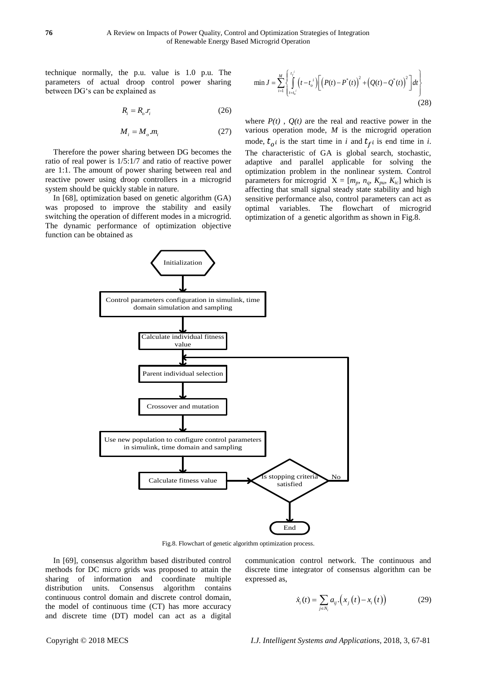technique normally, the p.u. value is 1.0 p.u. The parameters of actual droop control power sharing between DG's can be explained as

$$
R_i = R_o.r_i \tag{26}
$$

$$
M_i = M_o.m_i \tag{27}
$$

Therefore the power sharing between DG becomes the ratio of real power is 1/5:1/7 and ratio of reactive power are 1:1. The amount of power sharing between real and reactive power using droop controllers in a microgrid system should be quickly stable in nature.

In [68], optimization based on genetic algorithm (GA) was proposed to improve the stability and easily switching the operation of different modes in a microgrid. The dynamic performance of optimization objective function can be obtained as

$$
\min J = \sum_{i=1}^{M} \left\{ \int_{t=t_o^{i}}^{t_f^{i}} \left( t - t_o^{i} \right) \left[ \left( P(t) - P^{*}(t) \right)^{2} + \left( Q(t) - Q^{*}(t) \right)^{2} \right] dt \right\}
$$
\n(28)

where  $P(t)$ ,  $O(t)$  are the real and reactive power in the various operation mode, *M* is the microgrid operation mode,  $t_o$  is the start time in *i* and  $t_f$  is end time in *i*. The characteristic of GA is global search, stochastic, adaptive and parallel applicable for solving the optimization problem in the nonlinear system. Control parameters for microgrid  $X = [m_p, n_q, K_{pw}, K_{ic}]$  which is affecting that small signal steady state stability and high sensitive performance also, control parameters can act as optimal variables. The flowchart of microgrid optimization of a genetic algorithm as shown in Fig.8.



Fig.8. Flowchart of genetic algorithm optimization process.

In [69], consensus algorithm based distributed control methods for DC micro grids was proposed to attain the sharing of information and coordinate multiple distribution units. Consensus algorithm contains continuous control domain and discrete control domain, the model of continuous time (CT) has more accuracy and discrete time (DT) model can act as a digital

communication control network. The continuous and discrete time integrator of consensus algorithm can be expressed as,

$$
\dot{x}_i(t) = \sum_{j \in N_i} a_{ij} \cdot (x_j(t) - x_i(t)) \tag{29}
$$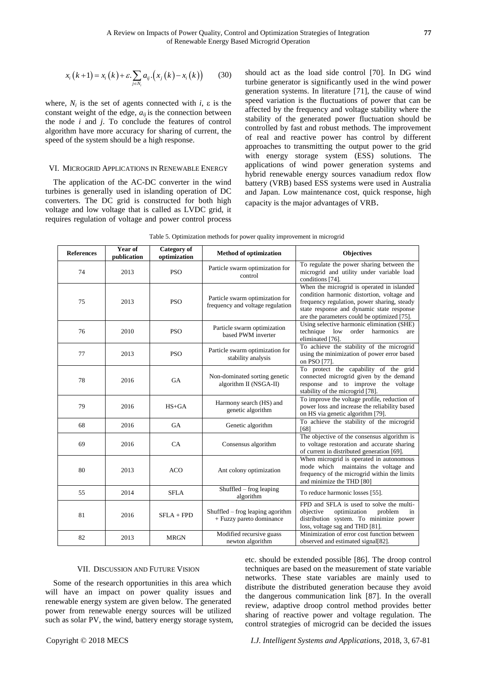$$
x_i(k+1) = x_i(k) + \varepsilon \sum_{j \in N_i} a_{ij} \cdot (x_j(k) - x_i(k)) \qquad (30)
$$

#### VI. MICROGRID APPLICATIONS IN RENEWABLE ENERGY

|                       |                     | $x_i(k+1) = x_i(k) + \varepsilon \sum_{i \in N_i} a_{ij} (x_i(k) - x_i(k))$<br>where, $N_i$ is the set of agents connected with i, $\varepsilon$ is the<br>constant weight of the edge, $a_{ij}$ is the connection between<br>the node $i$ and $j$ . To conclude the features of control<br>algorithm have more accuracy for sharing of current, the<br>speed of the system should be a high response.<br>VI. MICROGRID APPLICATIONS IN RENEWABLE ENERGY<br>The application of the AC-DC converter in the wind<br>turbines is generally used in islanding operation of DC<br>converters. The DC grid is constructed for both high<br>voltage and low voltage that is called as LVDC grid, it<br>requires regulation of voltage and power control process | (30)                                                                | Table 5. Optimization methods for power quality improvement in microgrid | should act as the load side control [70]. In DG wind<br>turbine generator is significantly used in the wind power<br>generation systems. In literature [71], the cause of wind<br>speed variation is the fluctuations of power that can be<br>affected by the frequency and voltage stability where the<br>stability of the generated power fluctuation should be<br>controlled by fast and robust methods. The improvement<br>of real and reactive power has control by different<br>approaches to transmitting the output power to the grid<br>with energy storage system (ESS) solutions. The<br>applications of wind power generation systems and<br>hybrid renewable energy sources vanadium redox flow<br>battery (VRB) based ESS systems were used in Australia<br>and Japan. Low maintenance cost, quick response, high<br>capacity is the major advantages of VRB. |  |
|-----------------------|---------------------|----------------------------------------------------------------------------------------------------------------------------------------------------------------------------------------------------------------------------------------------------------------------------------------------------------------------------------------------------------------------------------------------------------------------------------------------------------------------------------------------------------------------------------------------------------------------------------------------------------------------------------------------------------------------------------------------------------------------------------------------------------|---------------------------------------------------------------------|--------------------------------------------------------------------------|-----------------------------------------------------------------------------------------------------------------------------------------------------------------------------------------------------------------------------------------------------------------------------------------------------------------------------------------------------------------------------------------------------------------------------------------------------------------------------------------------------------------------------------------------------------------------------------------------------------------------------------------------------------------------------------------------------------------------------------------------------------------------------------------------------------------------------------------------------------------------------|--|
| <b>References</b>     | Year of             | <b>Category of</b>                                                                                                                                                                                                                                                                                                                                                                                                                                                                                                                                                                                                                                                                                                                                       |                                                                     | Method of optimization                                                   | <b>Objectives</b>                                                                                                                                                                                                                                                                                                                                                                                                                                                                                                                                                                                                                                                                                                                                                                                                                                                           |  |
| 74                    | publication<br>2013 | optimization<br><b>PSO</b>                                                                                                                                                                                                                                                                                                                                                                                                                                                                                                                                                                                                                                                                                                                               |                                                                     | Particle swarm optimization for<br>control                               | To regulate the power sharing between the<br>microgrid and utility under variable load<br>conditions [74].                                                                                                                                                                                                                                                                                                                                                                                                                                                                                                                                                                                                                                                                                                                                                                  |  |
| 75                    | 2013                | <b>PSO</b>                                                                                                                                                                                                                                                                                                                                                                                                                                                                                                                                                                                                                                                                                                                                               | Particle swarm optimization for<br>frequency and voltage regulation |                                                                          | When the microgrid is operated in islanded<br>condition harmonic distortion, voltage and<br>frequency regulation, power sharing, steady<br>state response and dynamic state response<br>are the parameters could be optimized [75].                                                                                                                                                                                                                                                                                                                                                                                                                                                                                                                                                                                                                                         |  |
| 76                    | 2010                | <b>PSO</b>                                                                                                                                                                                                                                                                                                                                                                                                                                                                                                                                                                                                                                                                                                                                               | Particle swarm optimization<br>based PWM inverter                   |                                                                          | Using selective harmonic elimination (SHE)<br>technique low order harmonics<br>are<br>eliminated [76].                                                                                                                                                                                                                                                                                                                                                                                                                                                                                                                                                                                                                                                                                                                                                                      |  |
| 77                    | 2013                | <b>PSO</b>                                                                                                                                                                                                                                                                                                                                                                                                                                                                                                                                                                                                                                                                                                                                               | Particle swarm optimization for<br>stability analysis               |                                                                          | To achieve the stability of the microgrid<br>using the minimization of power error based<br>on PSO [77].                                                                                                                                                                                                                                                                                                                                                                                                                                                                                                                                                                                                                                                                                                                                                                    |  |
| 78                    | 2016                | GA                                                                                                                                                                                                                                                                                                                                                                                                                                                                                                                                                                                                                                                                                                                                                       | Non-dominated sorting genetic<br>algorithm II (NSGA-II)             |                                                                          | To protect the capability of the grid<br>connected microgrid given by the demand<br>response and to improve the voltage<br>stability of the microgrid [78].                                                                                                                                                                                                                                                                                                                                                                                                                                                                                                                                                                                                                                                                                                                 |  |
| 79                    | 2016                | $HS+GA$                                                                                                                                                                                                                                                                                                                                                                                                                                                                                                                                                                                                                                                                                                                                                  | Harmony search (HS) and<br>genetic algorithm                        |                                                                          | To improve the voltage profile, reduction of<br>power loss and increase the reliability based<br>on HS via genetic algorithm [79].                                                                                                                                                                                                                                                                                                                                                                                                                                                                                                                                                                                                                                                                                                                                          |  |
| 68                    | 2016                | GA                                                                                                                                                                                                                                                                                                                                                                                                                                                                                                                                                                                                                                                                                                                                                       | Genetic algorithm                                                   |                                                                          | To achieve the stability of the microgrid<br>[68]                                                                                                                                                                                                                                                                                                                                                                                                                                                                                                                                                                                                                                                                                                                                                                                                                           |  |
| 69                    | 2016                | CA                                                                                                                                                                                                                                                                                                                                                                                                                                                                                                                                                                                                                                                                                                                                                       | Consensus algorithm                                                 |                                                                          | The objective of the consensus algorithm is<br>to voltage restoration and accurate sharing<br>of current in distributed generation [69].                                                                                                                                                                                                                                                                                                                                                                                                                                                                                                                                                                                                                                                                                                                                    |  |
| 80                    | 2013                | ACO                                                                                                                                                                                                                                                                                                                                                                                                                                                                                                                                                                                                                                                                                                                                                      | Ant colony optimization                                             |                                                                          | When microgrid is operated in autonomous<br>mode which maintains the voltage and<br>frequency of the microgrid within the limits<br>and minimize the THD [80]                                                                                                                                                                                                                                                                                                                                                                                                                                                                                                                                                                                                                                                                                                               |  |
| 55                    | 2014                | <b>SFLA</b>                                                                                                                                                                                                                                                                                                                                                                                                                                                                                                                                                                                                                                                                                                                                              | Shuffled – frog leaping<br>algorithm                                |                                                                          | To reduce harmonic losses [55].                                                                                                                                                                                                                                                                                                                                                                                                                                                                                                                                                                                                                                                                                                                                                                                                                                             |  |
| 81                    | 2016                | $SFLA + FPD$                                                                                                                                                                                                                                                                                                                                                                                                                                                                                                                                                                                                                                                                                                                                             | Shuffled $-$ frog leaping agorithm<br>+ Fuzzy pareto dominance      |                                                                          | FPD and SFLA is used to solve the multi-<br>objective<br>optimization<br>problem<br>in<br>distribution system. To minimize power<br>loss, voltage sag and THD [81].                                                                                                                                                                                                                                                                                                                                                                                                                                                                                                                                                                                                                                                                                                         |  |
| 82                    | 2013                | <b>MRGN</b>                                                                                                                                                                                                                                                                                                                                                                                                                                                                                                                                                                                                                                                                                                                                              | Modified recursive guass<br>newton algorithm                        |                                                                          | Minimization of error cost function between<br>observed and estimated signal [82].                                                                                                                                                                                                                                                                                                                                                                                                                                                                                                                                                                                                                                                                                                                                                                                          |  |
| Copyright © 2018 MECS |                     | VII. DISCUSSION AND FUTURE VISION<br>Some of the research opportunities in this area which<br>will have an impact on power quality issues and<br>renewable energy system are given below. The generated<br>power from renewable energy sources will be utilized<br>such as solar PV, the wind, battery energy storage system,                                                                                                                                                                                                                                                                                                                                                                                                                            |                                                                     |                                                                          | etc. should be extended possible [86]. The droop control<br>techniques are based on the measurement of state variable<br>networks. These state variables are mainly used to<br>distribute the distributed generation because they avoid<br>the dangerous communication link [87]. In the overal<br>review, adaptive droop control method provides better<br>sharing of reactive power and voltage regulation. The<br>control strategies of microgrid can be decided the issues<br>I.J. Intelligent Systems and Applications, 2018, 3, 67-81                                                                                                                                                                                                                                                                                                                                 |  |

#### VII. DISCUSSION AND FUTURE VISION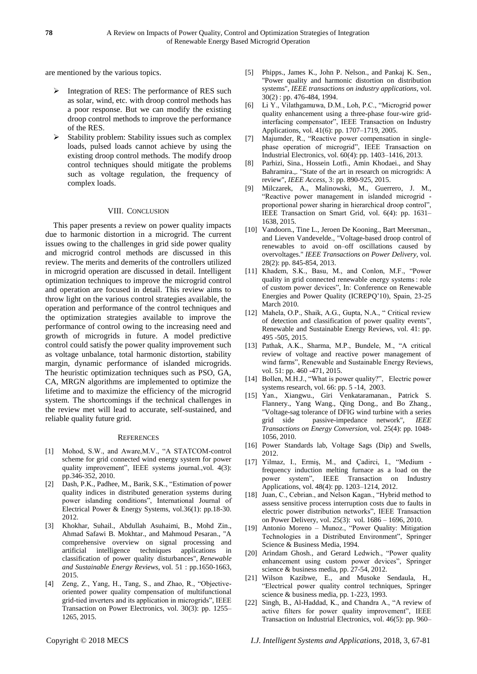are mentioned by the various topics.

- $\triangleright$  Integration of RES: The performance of RES such as solar, wind, etc. with droop control methods has a poor response. But we can modify the existing droop control methods to improve the performance of the RES.
- Stability problem: Stability issues such as complex loads, pulsed loads cannot achieve by using the existing droop control methods. The modify droop control techniques should mitigate the problems such as voltage regulation, the frequency of complex loads.

#### VIII. CONCLUSION

This paper presents a review on power quality impacts due to harmonic distortion in a microgrid. The current issues owing to the challenges in grid side power quality and microgrid control methods are discussed in this review. The merits and demerits of the controllers utilized in microgrid operation are discussed in detail. Intelligent optimization techniques to improve the microgrid control and operation are focused in detail. This review aims to throw light on the various control strategies available, the operation and performance of the control techniques and the optimization strategies available to improve the performance of control owing to the increasing need and growth of microgrids in future. A model predictive control could satisfy the power quality improvement such as voltage unbalance, total harmonic distortion, stability margin, dynamic performance of islanded microgrids. The heuristic optimization techniques such as PSO, GA, CA, MRGN algorithms are implemented to optimize the lifetime and to maximize the efficiency of the microgrid system. The shortcomings if the technical challenges in the review met will lead to accurate, self-sustained, and reliable quality future grid.

#### **REFERENCES**

- [1] Mohod, S.W., and Aware,M.V., "A STATCOM-control scheme for grid connected wind energy system for power quality improvement", IEEE systems journal.,vol. 4(3): pp.346-352, 2010.
- [2] Dash, P.K., Padhee, M., Barik, S.K., "Estimation of power quality indices in distributed generation systems during power islanding conditions", International Journal of Electrical Power & Energy Systems, vol.36(1): pp.18-30. 2012.
- [3] Khokhar, Suhail., Abdullah Asuhaimi, B., Mohd Zin., Ahmad Safawi B. Mokhtar., and Mahmoud Pesaran., "A comprehensive overview on signal processing and artificial intelligence techniques applications in classification of power quality disturbances", *Renewable and Sustainable Energy Reviews,* vol. 51 : pp.1650-1663, 2015.
- [4] Zeng, Z., Yang, H., Tang, S., and Zhao, R., "Objectiveoriented power quality compensation of multifunctional grid-tied inverters and its application in microgrids", IEEE Transaction on Power Electronics, vol. 30(3): pp. 1255– 1265, 2015.
- [5] Phipps., James K., John P. Nelson., and Pankaj K. Sen., "Power quality and harmonic distortion on distribution systems", *IEEE transactions on industry applications*, vol. 30(2) : pp. 476-484, 1994.
- [6] Li Y., Vilathgamuwa, D.M., Loh, P.C., "Microgrid power quality enhancement using a three-phase four-wire gridinterfacing compensator", IEEE Transaction on Industry Applications, vol. 41(6): pp. 1707–1719, 2005.
- [7] Majumder, R., "Reactive power compensation in singlephase operation of microgrid", IEEE Transaction on Industrial Electronics, vol. 60(4): pp. 1403–1416, 2013.
- [8] Parhizi, Sina., Hossein Lotfi., Amin Khodaei., and Shay Bahramira.,. "State of the art in research on microgrids: A review", *IEEE Access,* 3: pp. 890-925, 2015.
- [9] Milczarek, A., Malinowski, M., Guerrero, J. M., "Reactive power management in islanded microgrid proportional power sharing in hierarchical droop control", IEEE Transaction on Smart Grid, vol. 6(4): pp. 1631– 1638, 2015.
- [10] Vandoorn., Tine L., Jeroen De Kooning., Bart Meersman., and Lieven Vandevelde., "Voltage-based droop control of renewables to avoid on–off oscillations caused by overvoltages." *IEEE Transactions on Power Delivery,* vol. 28(2): pp. 845-854, 2013.
- [11] Khadem, S.K., Basu, M., and Conlon, M.F., "Power quality in grid connected renewable energy systems : role of custom power devices", In: Conference on Renewable Energies and Power Quality (ICREPQ'10), Spain, 23-25 March 2010.
- [12] Mahela, O.P., Shaik, A.G., Gupta, N.A., " Critical review of detection and classification of power quality events", Renewable and Sustainable Energy Reviews, vol. 41: pp. 495 -505, 2015.
- [13] Pathak, A.K., Sharma, M.P., Bundele, M., "A critical review of voltage and reactive power management of wind farms", Renewable and Sustainable Energy Reviews, vol. 51: pp. 460 -471, 2015.
- [14] Bollen, M.H.J., "What is power quality?", Electric power systems research, vol. 66: pp. 5 -14, 2003.
- [15] Yan., Xiangwu., Giri Venkataramanan., Patrick S. Flannery., Yang Wang., Qing Dong., and Bo Zhang., "Voltage-sag tolerance of DFIG wind turbine with a series grid side passive-impedance network", *IEEE Transactions on Energy Conversion,* vol. 25(4): pp. 1048- 1056, 2010.
- [16] Power Standards lab, Voltage Sags (Dip) and Swells, 2012.
- [17] Yilmaz, I., Ermiş, M., and Çadirci, I., "Medium frequency induction melting furnace as a load on the power system", IEEE Transaction on Industry Applications, vol. 48(4): pp. 1203–1214, 2012.
- [18] Juan, C., Cebrian., and Nelson Kagan., "Hybrid method to assess sensitive process interruption costs due to faults in electric power distribution networks", IEEE Transaction on Power Delivery, vol. 25(3): vol. 1686 – 1696, 2010.
- [19] Antonio Moreno Munoz., "Power Quality: Mitigation Technologies in a Distributed Environment", Springer Science & Business Media, 1994.
- [20] Arindam Ghosh., and Gerard Ledwich., "Power quality enhancement using custom power devices", Springer science & business media, pp. 27-54, 2012.
- [21] Wilson Kazibwe, E., and Musoke Sendaula, H., "Electrical power quality control techniques, Springer science & business media, pp. 1-223, 1993.
- [22] Singh, B., Al-Haddad, K., and Chandra A., "A review of active filters for power quality improvement", IEEE Transaction on Industrial Electronics, vol. 46(5): pp. 960–

Copyright © 2018 MECS *I.J. Intelligent Systems and Applications,* 2018, 3, 67-81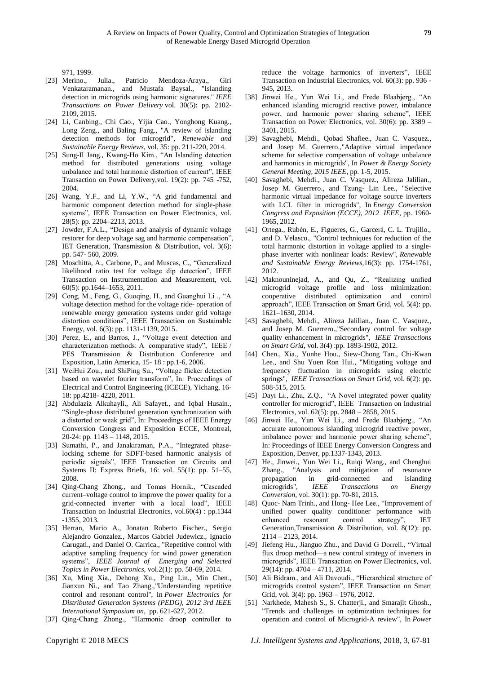971, 1999.

- [23] Merino., Julia., Patricio Mendoza-Araya., Giri Venkataramanan., and Mustafa Baysal., "Islanding detection in microgrids using harmonic signatures." *IEEE Transactions on Power Delivery* vol. 30(5): pp. 2102- 2109, 2015.
- [24] Li, Canbing., Chi Cao., Yijia Cao., Yonghong Kuang., Long Zeng., and Baling Fang., "A review of islanding detection methods for microgrid", *Renewable and Sustainable Energy Reviews,* vol. 35: pp. 211-220, 2014.
- [25] Sung-Il Jang., Kwang-Ho Kim., "An Islanding detection method for distributed generations using voltage unbalance and total harmonic distortion of current", IEEE Transaction on Power Delivery,vol. 19(2): pp. 745 -752, 2004.
- [26] Wang, Y.F., and Li, Y.W., "A grid fundamental and harmonic component detection method for single-phase systems", IEEE Transaction on Power Electronics, vol. 28(5): pp. 2204–2213, 2013.
- [27] Jowder, F.A.L., "Design and analysis of dynamic voltage restorer for deep voltage sag and harmonic compensation", IET Generation, Transmission & Distribution, vol. 3(6): pp. 547- 560, 2009.
- [28] Moschitta, A., Carbone, P., and Muscas, C., "Generalized likelihood ratio test for voltage dip detection", IEEE Transaction on Instrumentation and Measurement, vol. 60(5): pp.1644–1653, 2011.
- [29] Cong, M., Feng, G., Guoqing, H., and Guanghui Li ., "A voltage detection method for the voltage ride- operation of renewable energy generation systems under grid voltage distortion conditions", IEEE Transaction on Sustainable Energy, vol. 6(3): pp. 1131-1139, 2015.
- [30] Perez, E., and Barros, J., "Voltage event detection and characterization methods: A comparative study", IEEE / PES Transmission & Distribution Conference and Exposition, Latin America, 15- 18 : pp.1-6, 2006.
- [31] WeiHui Zou., and ShiPing Su., "Voltage flicker detection based on wavelet fourier transform", In: Proceedings of Electrical and Control Engineering (ICECE), Yichang, 16- 18: pp.4218- 4220, 2011.
- [32] Abdulaziz Alkuhayli., Ali Safayet., and Iqbal Husain., "Single-phase distributed generation synchronization with a distorted or weak grid", In: Proceedings of IEEE Energy Conversion Congress and Exposition ECCE, Montreal, 20-24: pp. 1143 – 1148, 2015.
- [33] Sumathi, P., and Janakiraman, P.A., "Integrated phaselocking scheme for SDFT-based harmonic analysis of periodic signals", IEEE Transaction on Circuits and Systems II: Express Briefs, 16: vol. 55(1): pp. 51–55, 2008.
- [34] Qing-Chang Zhong., and Tomas Hornik., "Cascaded current–voltage control to improve the power quality for a grid-connected inverter with a local load", IEEE Transaction on Industrial Electronics, vol.60(4) : pp.1344 -1355, 2013.
- [35] Herran, Mario A., Jonatan Roberto Fischer., Sergio Alejandro Gonzalez., Marcos Gabriel Judewicz., Ignacio Carugati., and Daniel O. Carrica., "Repetitive control with adaptive sampling frequency for wind power generation systems", *IEEE Journal of Emerging and Selected Topics in Power Electronics,* vol.2(1): pp. 58-69, 2014.
- [36] Xu, Ming Xia., Dehong Xu., Ping Lin., Min Chen., Jianxun Ni., and Tao Zhang.,"Understanding repetitive control and resonant control", In *Power Electronics for Distributed Generation Systems (PEDG), 2012 3rd IEEE International Symposium on*, pp. 621-627, 2012.
- [37] Qing-Chang Zhong., "Harmonic droop controller to

reduce the voltage harmonics of inverters", IEEE Transaction on Industrial Electronics, vol. 60(3): pp. 936 - 945, 2013.

- [38] Jinwei He., Yun Wei Li., and Frede Blaabjerg., "An enhanced islanding microgrid reactive power, imbalance power, and harmonic power sharing scheme", IEEE Transaction on Power Electronics, vol. 30(6): pp. 3389 – 3401, 2015.
- [39] Savaghebi, Mehdi., Qobad Shafiee., Juan C. Vasquez., and Josep M. Guerrero.,"Adaptive virtual impedance scheme for selective compensation of voltage unbalance and harmonics in microgrids", In *Power & Energy Society General Meeting, 2015 IEEE*, pp. 1-5, 2015.
- [40] Savaghebi, Mehdi., Juan C. Vasquez., Alireza Jalilian., Josep M. Guerrero., and Tzung- Lin Lee., "Selective harmonic virtual impedance for voltage source inverters with LCL filter in microgrids", In *Energy Conversion Congress and Exposition (ECCE), 2012 IEEE*, pp. 1960- 1965, 2012.
- [41] Ortega., Rubén, E., Figueres, G., Garcerá, C. L. Trujillo., and D. Velasco., "Control techniques for reduction of the total harmonic distortion in voltage applied to a singlephase inverter with nonlinear loads: Review", *Renewable and Sustainable Energy Reviews,*16(3): pp. 1754-1761, 2012.
- [42] Maknouninejad, A., and Qu, Z., "Realizing unified microgrid voltage profile and loss minimization: cooperative distributed optimization and control approach", IEEE Transaction on Smart Grid, vol. 5(4): pp. 1621–1630, 2014.
- [43] Savaghebi, Mehdi., Alireza Jalilian., Juan C. Vasquez., and Josep M. Guerrero.,"Secondary control for voltage quality enhancement in microgrids", *IEEE Transactions on Smart Grid,* vol. 3(4) :pp. 1893-1902, 2012.
- [44] Chen., Xia., Yunhe Hou., Siew-Chong Tan., Chi-Kwan Lee., and Shu Yuen Ron Hui., "Mitigating voltage and frequency fluctuation in microgrids using electric springs", *IEEE Transactions on Smart Grid,* vol. 6(2): pp. 508-515, 2015.
- [45] Dayi Li., Zhu, Z.Q., "A Novel integrated power quality controller for microgrid", IEEE Transaction on Industrial Electronics, vol. 62(5): pp. 2848 – 2858, 2015.
- [46] Jinwei He., Yun Wei Li., and Frede Blaabjerg., "An accurate autonomous islanding microgrid reactive power, imbalance power and harmonic power sharing scheme", In: Proceedings of IEEE Energy Conversion Congress and Exposition, Denver, pp.1337-1343, 2013.
- [47] He., Jinwei., Yun Wei Li., Ruiqi Wang., and Chenghui Zhang., "Analysis and mitigation of resonance propagation in grid-connected and islanding microgrids", *IEEE Transactions on Energy Conversion,* vol. 30(1): pp. 70-81, 2015.
- [48] Quoc- Nam Trinh., and Hong- Hee Lee., "Improvement of unified power quality conditioner performance with enhanced resonant control strategy", IET Generation,Transmission & Distribution, vol. 8(12): pp. 2114 – 2123, 2014.
- [49] Jiefeng Hu., Jianguo Zhu., and David G Dorrell., "Virtual flux droop method—a new control strategy of inverters in microgrids", IEEE Transaction on Power Electronics, vol. 29(14): pp. 4704 – 4711, 2014.
- [50] Ali Bidram., and Ali Davoudi., "Hierarchical structure of microgrids control system", IEEE Transaction on Smart Grid, vol. 3(4): pp. 1963 – 1976, 2012.
- [51] Narkhede, Mahesh S., S. Chatterji., and Smarajit Ghosh., "Trends and challenges in optimization techniques for operation and control of Microgrid-A review", In *Power*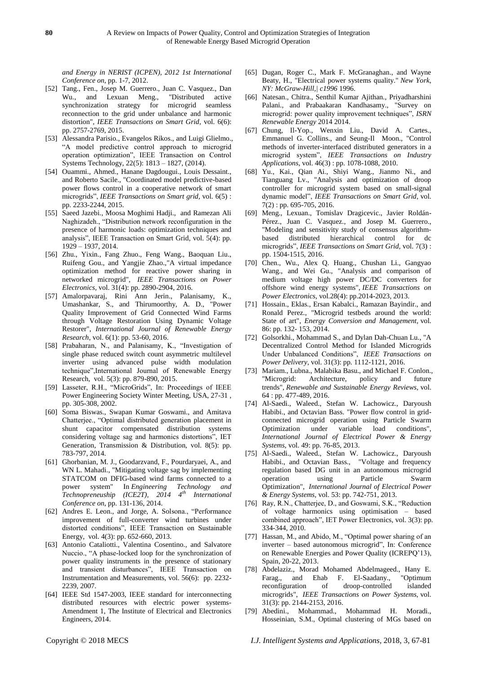*and Energy in NERIST (ICPEN), 2012 1st International Conference on*, pp. 1-7, 2012.

- [52] Tang., Fen., Josep M. Guerrero., Juan C. Vasquez., Dan Wu., and Lexuan Meng., "Distributed active synchronization strategy for microgrid seamless reconnection to the grid under unbalance and harmonic distortion", *IEEE Transactions on Smart Grid*, vol. 6(6): pp. 2757-2769, 2015.
- [53] Alessandra Parisio., Evangelos Rikos., and Luigi Glielmo., "A model predictive control approach to microgrid operation optimization", IEEE Transaction on Control Systems Technology, 22(5): 1813 – 1827, (2014).
- [54] Ouammi., Ahmed., Hanane Dagdougui., Louis Dessaint., and Roberto Sacile., "Coordinated model predictive-based power flows control in a cooperative network of smart microgrids", *IEEE Transactions on Smart grid,* vol. 6(5) : pp. 2233-2244, 2015.
- [55] Saeed Jazebi., Moosa Moghimi Hadji., and Ramezan Ali Naghizadeh., "Distribution network reconfiguration in the presence of harmonic loads: optimization techniques and analysis", IEEE Transaction on Smart Grid, vol. 5(4): pp. 1929 – 1937, 2014.
- [56] Zhu., Yixin., Fang Zhuo., Feng Wang., Baoquan Liu., Ruifeng Gou., and Yangjie Zhao.,"A virtual impedance optimization method for reactive power sharing in networked microgrid", *IEEE Transactions on Power Electronics,* vol. 31(4): pp. 2890-2904, 2016.
- [57] Amalorpavaraj, Rini Ann Jerin., Palanisamy, K., Umashankar, S., and Thirumoorthy, A. D., "Power Quality Improvement of Grid Connected Wind Farms through Voltage Restoration Using Dynamic Voltage Restorer", *International Journal of Renewable Energy Research,* vol. 6(1): pp. 53-60, 2016.
- [58] Prabaharan, N., and Palanisamy, K., "Investigation of single phase reduced switch count asymmetric multilevel inverter using advanced pulse width modulation technique",International Journal of Renewable Energy Research, vol. 5(3): pp. 879-890, 2015.
- [59] Lasseter, R.H., "MicroGrids", In: Proceedings of IEEE Power Engineering Society Winter Meeting, USA, 27-31 , pp. 305-308, 2002.
- [60] Soma Biswas., Swapan Kumar Goswami., and Amitava Chatterjee., "Optimal distributed generation placement in shunt capacitor compensated distribution systems considering voltage sag and harmonics distortions", IET Generation, Transmission & Distribution, vol. 8(5): pp. 783-797, 2014.
- [61] Ghorbanian, M. J., Goodarzvand, F., Pourdaryaei, A., and WN L. Mahadi., "Mitigating voltage sag by implementing STATCOM on DFIG-based wind farms connected to a power system" In *Engineering Technology and Technopreneuship (ICE2T), 2014 4th International Conference on*, pp. 131-136, 2014.
- [62] Andres E. Leon., and Jorge, A. Solsona., "Performance improvement of full-converter wind turbines under distorted conditions", IEEE Transaction on Sustainable Energy, vol. 4(3): pp. 652-660, 2013.
- [63] Antonio Cataliotti., Valentina Cosentino., and Salvatore Nuccio., "A phase-locked loop for the synchronization of power quality instruments in the presence of stationary and transient disturbances", IEEE Transaction on Instrumentation and Measurements, vol. 56(6): pp. 2232- 2239, 2007.
- [64] IEEE Std 1547-2003, IEEE standard for interconnecting distributed resources with electric power systems-Amendment 1, The Institute of Electrical and Electronics Engineers, 2014.
- [65] Dugan, Roger C., Mark F. McGranaghan., and Wayne Beaty, H., "Electrical power systems quality." *New York, NY: McGraw-Hill,| c1996* 1996.
- [66] Natesan., Chitra., Senthil Kumar Ajithan., Priyadharshini Palani., and Prabaakaran Kandhasamy., "Survey on microgrid: power quality improvement techniques", *ISRN Renewable Energy* 2014 2014.
- [67] Chung, Il-Yop., Wenxin Liu., David A. Cartes., Emmanuel G. Collins., and Seung-Il Moon., "Control methods of inverter-interfaced distributed generators in a microgrid system", *IEEE Transactions on Industry Applications*, vol. 46(3) : pp. 1078-1088, 2010.
- [68] Yu., Kai., Qian Ai., Shiyi Wang., Jianmo Ni., and Tianguang Lv., "Analysis and optimization of droop controller for microgrid system based on small-signal dynamic model", *IEEE Transactions on Smart Grid,* vol.  $7(2)$ : pp. 695-705, 2016.
- [69] Meng., Lexuan., Tomislav Dragicevic., Javier Roldán-Pérez., Juan C. Vasquez., and Josep M. Guerrero., "Modeling and sensitivity study of consensus algorithmbased distributed hierarchical control for dc microgrids", *IEEE Transactions on Smart Grid,* vol. 7(3) : pp. 1504-1515, 2016.
- [70] Chen., Wu., Alex Q. Huang., Chushan Li., Gangyao Wang., and Wei Gu., "Analysis and comparison of medium voltage high power DC/DC converters for offshore wind energy systems", *IEEE Transactions on Power Electronics,* vol.28(4): pp.2014-2023, 2013.
- [71] Hossain., Eklas., Ersan Kabalci., Ramazan Bayindir., and Ronald Perez., "Microgrid testbeds around the world: State of art", *Energy Conversion and Management,* vol. 86: pp. 132- 153, 2014.
- [72] Golsorkhi., Mohammad S., and Dylan Dah-Chuan Lu., "A Decentralized Control Method for Islanded Microgrids Under Unbalanced Conditions", *IEEE Transactions on Power Delivery*, vol. 31(3): pp. 1112-1121, 2016.
- [73] Mariam., Lubna., Malabika Basu., and Michael F. Conlon., "Microgrid: Architecture, policy and future trends", *Renewable and Sustainable Energy Reviews,* vol. 64 : pp. 477-489, 2016.
- [74] Al-Saedi., Waleed., Stefan W. Lachowicz., Daryoush Habibi., and Octavian Bass. "Power flow control in gridconnected microgrid operation using Particle Swarm Optimization under variable load conditions", *International Journal of Electrical Power & Energy Systems,* vol. 49: pp. 76-85, 2013.
- [75] Al-Saedi., Waleed., Stefan W. Lachowicz., Daryoush Habibi., and Octavian Bass., "Voltage and frequency regulation based DG unit in an autonomous microgrid operation using Particle Swarm Optimization", *International Journal of Electrical Power & Energy Systems,* vol. 53: pp. 742-751, 2013.
- [76] Ray, R.N., Chatterjee, D., and Goswami, S.K., "Reduction of voltage harmonics using optimisation – based combined approach", IET Power Electronics, vol. 3(3): pp. 334-344, 2010.
- [77] Hassan, M., and Abido, M., "Optimal power sharing of an inverter – based autonomous microgrid", In: Conference on Renewable Energies and Power Quality (ICREPQ'13), Spain, 20-22, 2013.
- [78] Abdelaziz., Morad Mohamed Abdelmageed., Hany E. Farag., and Ehab F. El-Saadany., "Optimum reconfiguration of droop-controlled islanded microgrids", *IEEE Transactions on Power Systems,* vol. 31(3): pp. 2144-2153, 2016.
- [79] Abedini., Mohammad., Mohammad H. Moradi., Hosseinian, S.M., Optimal clustering of MGs based on

Copyright © 2018 MECS *I.J. Intelligent Systems and Applications,* 2018, 3, 67-81